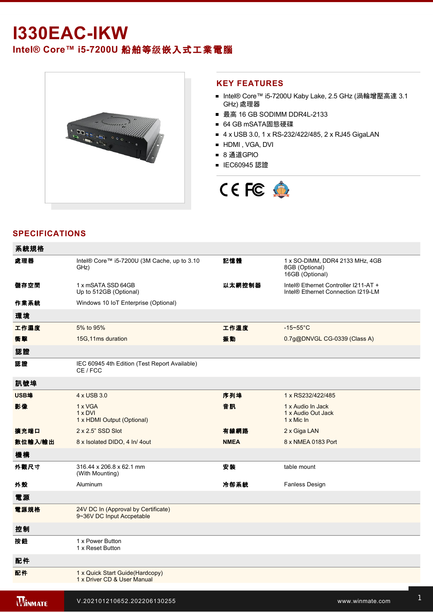# **I330EAC-IKW**

# **Intel® Core™ i57200U** 船舶等级嵌入式工業電腦



### **KEY FEATURES**

- Intel® Core™ i5-7200U Kaby Lake, 2.5 GHz (渦輪增壓高達 3.1 GHz) 處理器
- 最高 16 GB SODIMM DDR4L-2133
- 64 GB mSATA固態硬碟
- 4 x USB 3.0, 1 x RS-232/422/485, 2 x RJ45 GigaLAN
- **HDMI**, VGA, DVI
- 8 通道GPIO
- IEC60945 認證



# **SPECIFICATIONS**

| 系統規格           |                                                                  |             |                                                                            |
|----------------|------------------------------------------------------------------|-------------|----------------------------------------------------------------------------|
| 處理器            | Intel® Core™ i5-7200U (3M Cache, up to 3.10<br>GHz)              | 記憶體         | 1 x SO-DIMM, DDR4 2133 MHz, 4GB<br>8GB (Optional)<br>16GB (Optional)       |
| 儲存空間           | 1 x mSATA SSD 64GB<br>Up to 512GB (Optional)                     | 以太網控制器      | Intel® Ethernet Controller I211-AT +<br>Intel® Ethernet Connection I219-LM |
| 作業系統           | Windows 10 IoT Enterprise (Optional)                             |             |                                                                            |
| 環境             |                                                                  |             |                                                                            |
| 工作濕度           | 5% to 95%                                                        | 工作溫度        | $-15 - 55$ °C                                                              |
| 衝擊             | 15G, 11ms duration                                               | 振動          | 0.7g@DNVGL CG-0339 (Class A)                                               |
| 認證             |                                                                  |             |                                                                            |
| 認證             | IEC 60945 4th Edition (Test Report Available)<br>CE / FCC        |             |                                                                            |
| 訊號埠            |                                                                  |             |                                                                            |
| <b>USB埠</b>    | 4 x USB 3.0                                                      | 序列埠         | 1 x RS232/422/485                                                          |
| 影像             | 1 x VGA<br>$1 \times DVI$<br>1 x HDMI Output (Optional)          | 音訊          | 1 x Audio In Jack<br>1 x Audio Out Jack<br>1 x Mic In                      |
| 擴充端口           | $2 \times 2.5$ " SSD Slot                                        | 有線網路        | 2 x Giga LAN                                                               |
| 數位輸入/輸出        | 8 x Isolated DIDO, 4 In/4 out                                    | <b>NMEA</b> | 8 x NMEA 0183 Port                                                         |
| 機構             |                                                                  |             |                                                                            |
| 外觀尺寸           | 316.44 x 206.8 x 62.1 mm<br>(With Mounting)                      | 安装          | table mount                                                                |
| 外殼             | Aluminum                                                         | 冷卻系統        | <b>Fanless Design</b>                                                      |
| 電源             |                                                                  |             |                                                                            |
| 電源規格           | 24V DC In (Approval by Certificate)<br>9~36V DC Input Accpetable |             |                                                                            |
| 控制             |                                                                  |             |                                                                            |
| 按鈕             | 1 x Power Button<br>1 x Reset Button                             |             |                                                                            |
| 配件             |                                                                  |             |                                                                            |
| 配件             | 1 x Quick Start Guide(Hardcopy)<br>1 x Driver CD & User Manual   |             |                                                                            |
| <b>WINMATE</b> | V.202101210652.202206130255                                      |             | www.winmate.com                                                            |